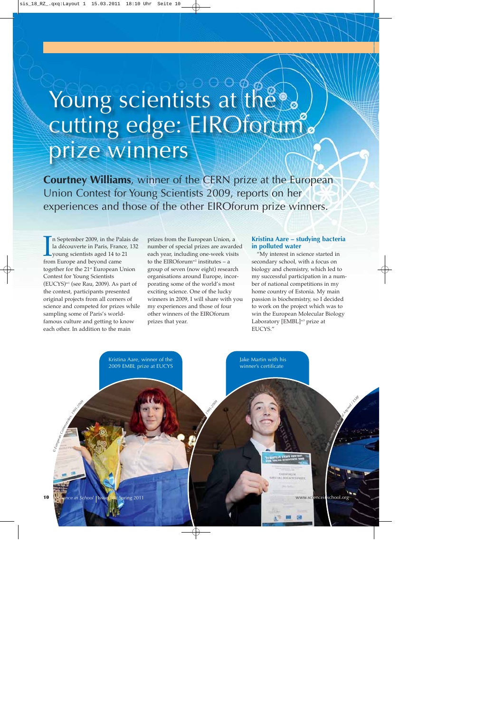# Young scientists at the cutting edge: EIROforum prize winners

**Courtney Williams**, winner of the CERN prize at the European Union Contest for Young Scientists 2009, reports on her experiences and those of the other EIROforum prize winners.

In September 2009, in the Pa la découverte in Paris, Francy young scientists aged 14 to from Europe and beyond came n September 2009, in the Palais de la découverte in Paris, France, 132 young scientists aged 14 to 21 together for the 21st European Union Contest for Young Scientists  $(EUCYS)^{w1}$  (see Rau, 2009). As part of the contest, participants presented original projects from all corners of science and competed for prizes while sampling some of Paris's worldfamous culture and getting to know each other. In addition to the main

prizes from the European Union, a number of special prizes are awarded each year, including one-week visits to the EIRO<br>forum<br>w2 institutes – a group of seven (now eight) research organisations around Europe, incorporating some of the world's most exciting science. One of the lucky winners in 2009, I will share with you my experiences and those of four other winners of the EIROforum prizes that year.

### **Kristina Aare – studying bacteria in polluted water**

"My interest in science started in secondary school, with a focus on biology and chemistry, which led to my successful participation in a number of national competitions in my home country of Estonia. My main passion is biochemistry, so I decided to work on the project which was to win the European Molecular Biology Laboratory [EMBL]<sup>w3</sup> prize at EUCYS."

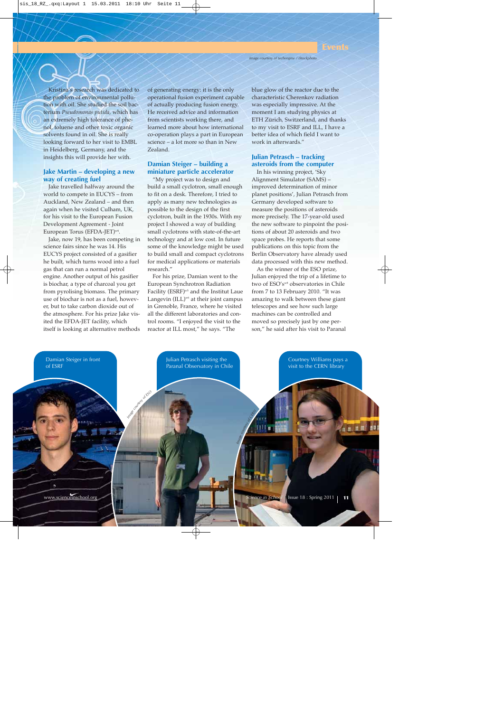Kristina's research was dedicated to the problem of environmental pollution with oil. She studied the soil bacterium *Pseudomonas putida*, which has an extremely high tolerance of phenol, toluene and other toxic organic solvents found in oil. She is really looking forward to her visit to EMBL in Heidelberg, Germany, and the insights this will provide her with.

# **Jake Martin – developing a new way of creating fuel**

Jake travelled halfway around the world to compete in EUCYS – from Auckland, New Zealand – and then again when he visited Culham, UK, for his visit to the European Fusion Development Agreement - Joint European Torus (EFDA-JET)<sup>w4</sup>.

Jake, now 19, has been competing in science fairs since he was 14. His EUCYS project consisted of a gasifier he built, which turns wood into a fuel gas that can run a normal petrol engine. Another output of his gasifier is biochar, a type of charcoal you get from pyrolising biomass. The primary use of biochar is not as a fuel, however, but to take carbon dioxide out of the atmosphere. For his prize Jake visited the EFDA-JET facility, which itself is looking at alternative methods

of generating energy: it is the only operational fusion experiment capable of actually producing fusion energy. He received advice and information from scientists working there, and learned more about how international co-operation plays a part in European science – a lot more so than in New Zealand.

# **Damian Steiger – building a miniature particle accelerator**

"My project was to design and build a small cyclotron, small enough to fit on a desk. Therefore, I tried to apply as many new technologies as possible to the design of the first cyclotron, built in the 1930s. With my project I showed a way of building small cyclotrons with state-of-the-art technology and at low cost. In future some of the knowledge might be used to build small and compact cyclotrons for medical applications or materials research."

For his prize, Damian went to the European Synchrotron Radiation Facility (ESRF)w5 and the Institut Laue Langevin  $(ILL)^{w6}$  at their joint campus in Grenoble, France, where he visited all the different laboratories and control rooms. "I enjoyed the visit to the reactor at ILL most," he says. "The

blue glow of the reactor due to the characteristic Cherenkov radiation was especially impressive. At the moment I am studying physics at ETH Zürich, Switzerland, and thanks to my visit to ESRF and ILL, I have a better idea of which field I want to work in afterwards."

# **Julian Petrasch – tracking asteroids from the computer**

In his winning project, 'Sky Alignment Simulator (SAMS) – improved determination of minor planet positions', Julian Petrasch from Germany developed software to measure the positions of asteroids more precisely. The 17-year-old used the new software to pinpoint the positions of about 20 asteroids and two space probes. He reports that some publications on this topic from the Berlin Observatory have already used data processed with this new method.

As the winner of the ESO prize, Julian enjoyed the trip of a lifetime to two of ESO's<sup>w8</sup> observatories in Chile from 7 to 13 February 2010. "It was amazing to walk between these giant telescopes and see how such large machines can be controlled and moved so precisely just by one person," he said after his visit to Paranal